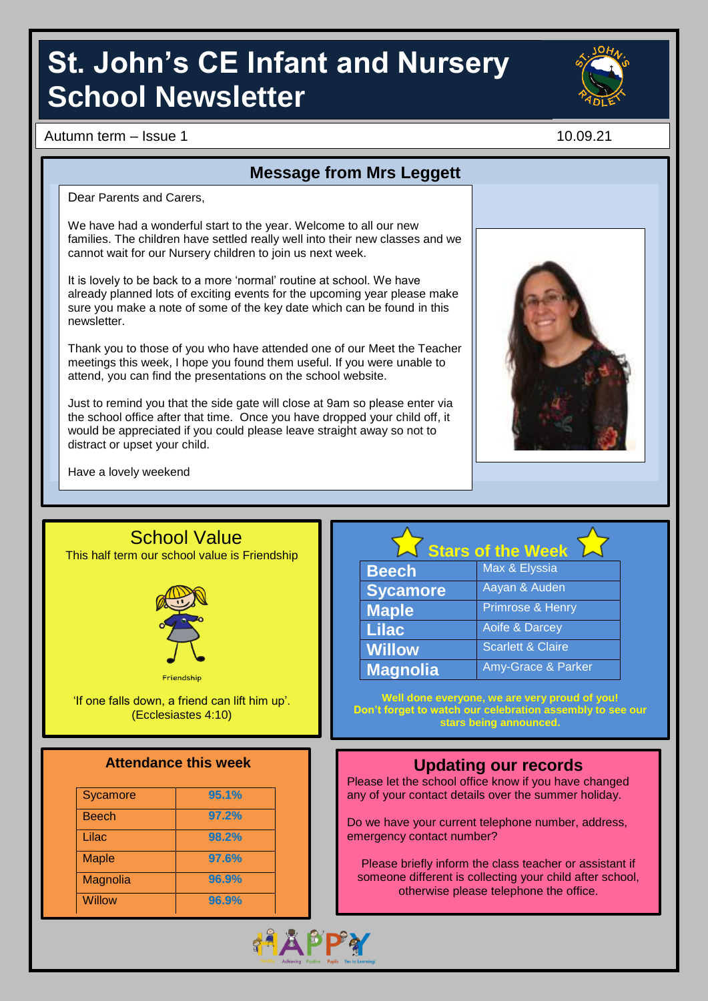# **St. John's CE Infant and Nursery School Newsletter**

Autumn term – Issue 1 10.09.21

**Message from Mrs Leggett**

Dear Parents and Carers,

We have had a wonderful start to the year. Welcome to all our new families. The children have settled really well into their new classes and we cannot wait for our Nursery children to join us next week.

It is lovely to be back to a more 'normal' routine at school. We have already planned lots of exciting events for the upcoming year please make sure you make a note of some of the key date which can be found in this newsletter.

Thank you to those of you who have attended one of our Meet the Teacher meetings this week, I hope you found them useful. If you were unable to attend, you can find the presentations on the school website.

Just to remind you that the side gate will close at 9am so please enter via the school office after that time. Once you have dropped your child off, it would be appreciated if you could please leave straight away so not to distract or upset your child.

Have a lovely weekend

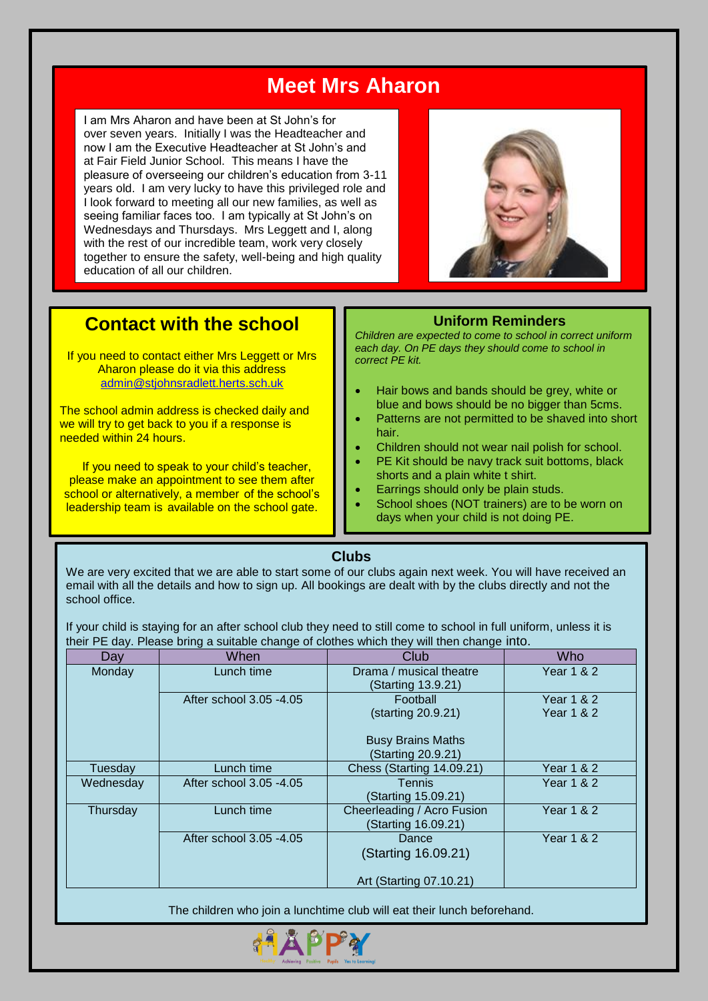# **Meet Mrs Aharon**

I am Mrs Aharon and have been at St John's for over seven years. Initially I was the Headteacher and now I am the Executive Headteacher at St John's and at Fair Field Junior School. This means I have the pleasure of overseeing our children's education from 3-11 years old. I am very lucky to have this privileged role and I look forward to meeting all our new families, as well as seeing familiar faces too. I am typically at St John's on Wednesdays and Thursdays. Mrs Leggett and I, along with the rest of our incredible team, work very closely together to ensure the safety, well-being and high quality education of all our children.



## **Contact with the school**

If you need to contact either Mrs Leggett or Mrs Aharon please do it via this address [admin@stjohnsradlett.herts.sch.uk](mailto:admin@stjohnsradlett.herts.sch.uk)

 we will try to get back to you if a response is The school admin address is checked daily and needed within 24 hours.

If you need to speak to your child's teacher, please make an appointment to see them after school or alternatively, a member of the school's leadership team is available on the school gate.

**Uniform Reminders**

*Children are expected to come to school in correct uniform each day. On PE days they should come to school in correct PE kit.* 

- Hair bows and bands should be grey, white or blue and bows should be no bigger than 5cms. Patterns are not permitted to be shaved into short
- hair. Children should not wear nail polish for school.
- PE Kit should be navy track suit bottoms, black shorts and a plain white t shirt.
- Earrings should only be plain studs.
- School shoes (NOT trainers) are to be worn on days when your child is not doing PE.

#### **Clubs**

We are very excited that we are able to start some of our clubs again next week. You will have received an email with all the details and how to sign up. All bookings are dealt with by the clubs directly and not the school office.

If your child is staying for an after school club they need to still come to school in full uniform, unless it is their PE day. Please bring a suitable change of clothes which they will then change into.

| Day       | When                    | Club                                              | Who                                            |
|-----------|-------------------------|---------------------------------------------------|------------------------------------------------|
| Monday    | Lunch time              | Drama / musical theatre<br>(Starting 13.9.21)     | Year 1 & 2                                     |
|           | After school 3.05 -4.05 | Football<br>(starting 20.9.21)                    | <b>Year 1 &amp; 2</b><br><b>Year 1 &amp; 2</b> |
|           |                         | <b>Busy Brains Maths</b><br>(Starting 20.9.21)    |                                                |
| Tuesday   | Lunch time              | Chess (Starting 14.09.21)                         | Year 1 & 2                                     |
| Wednesday | After school 3.05 -4.05 | Tennis<br>(Starting 15.09.21)                     | <b>Year 1 &amp; 2</b>                          |
| Thursday  | Lunch time              | Cheerleading / Acro Fusion<br>(Starting 16.09.21) | Year 1 & 2                                     |
|           | After school 3.05 -4.05 | Dance<br>(Starting 16.09.21)                      | <b>Year 1 &amp; 2</b>                          |
|           |                         | Art (Starting 07.10.21)                           |                                                |

The children who join a lunchtime club will eat their lunch beforehand.